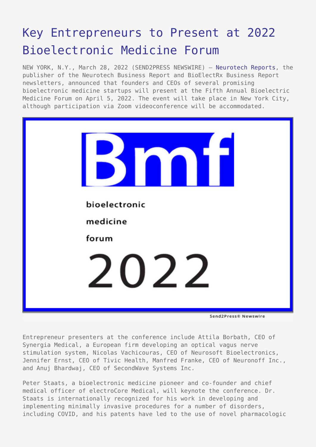## [Key Entrepreneurs to Present at 2022](https://www.send2press.com/wire/key-entrepreneurs-to-present-at-2022-bioelectronic-medicine-forum/) [Bioelectronic Medicine Forum](https://www.send2press.com/wire/key-entrepreneurs-to-present-at-2022-bioelectronic-medicine-forum/)

NEW YORK, N.Y., March 28, 2022 (SEND2PRESS NEWSWIRE) — [Neurotech Reports](https://www.neurotechreports.com/), the publisher of the Neurotech Business Report and BioElectRx Business Report newsletters, announced that founders and CEOs of several promising bioelectronic medicine startups will present at the Fifth Annual Bioelectric Medicine Forum on April 5, 2022. The event will take place in New York City, although participation via Zoom videoconference will be accommodated.



Send2Press® Newswire

Entrepreneur presenters at the conference include Attila Borbath, CEO of Synergia Medical, a European firm developing an optical vagus nerve stimulation system, Nicolas Vachicouras, CEO of Neurosoft Bioelectronics, Jennifer Ernst, CEO of Tivic Health, Manfred Franke, CEO of Neuronoff Inc., and Anuj Bhardwaj, CEO of SecondWave Systems Inc.

Peter Staats, a bioelectronic medicine pioneer and co-founder and chief medical officer of electroCore Medical, will keynote the conference. Dr. Staats is internationally recognized for his work in developing and implementing minimally invasive procedures for a number of disorders, including COVID, and his patents have led to the use of novel pharmacologic